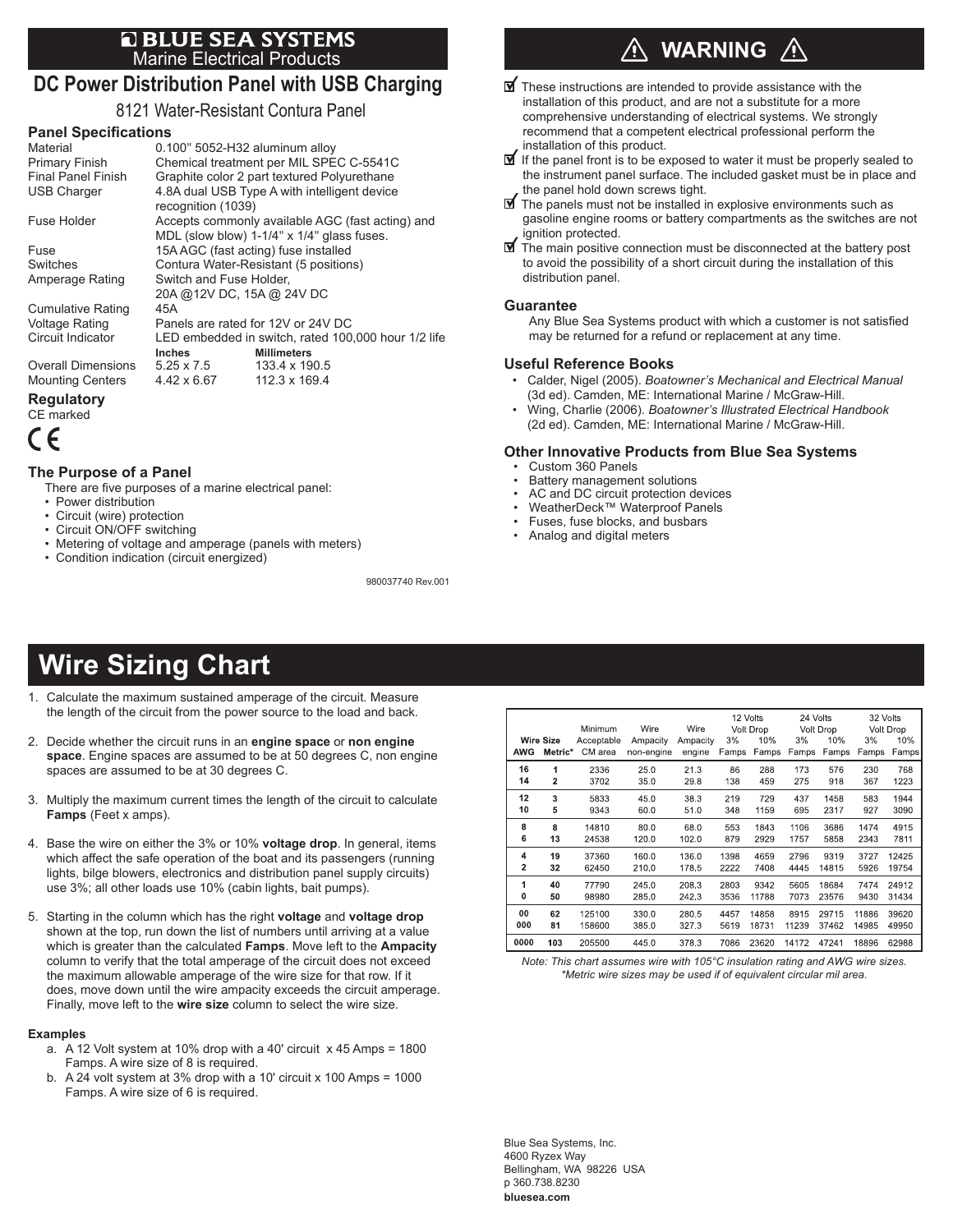# **E BLUE SEA SYSTEMS**<br>Marine Electrical Products

## **DC Power Distribution Panel with USB Charging**

8121 Water-Resistant Contura Panel

### **Panel Specifications**

| Material                  | 0.100" 5052-H32 aluminum alloy                      |                                            |  |  |  |
|---------------------------|-----------------------------------------------------|--------------------------------------------|--|--|--|
| Primary Finish            | Chemical treatment per MIL SPEC C-5541C             |                                            |  |  |  |
| <b>Final Panel Finish</b> | Graphite color 2 part textured Polyurethane         |                                            |  |  |  |
| <b>USB Charger</b>        | 4.8A dual USB Type A with intelligent device        |                                            |  |  |  |
|                           | recognition (1039)                                  |                                            |  |  |  |
| Fuse Holder               | Accepts commonly available AGC (fast acting) and    |                                            |  |  |  |
|                           |                                                     | MDL (slow blow) 1-1/4" x 1/4" glass fuses. |  |  |  |
| Fuse                      | 15A AGC (fast acting) fuse installed                |                                            |  |  |  |
| Switches                  | Contura Water-Resistant (5 positions)               |                                            |  |  |  |
| Amperage Rating           | Switch and Fuse Holder,                             |                                            |  |  |  |
|                           | 20A @ 12V DC, 15A @ 24V DC                          |                                            |  |  |  |
| <b>Cumulative Rating</b>  | 45A                                                 |                                            |  |  |  |
| <b>Voltage Rating</b>     | Panels are rated for 12V or 24V DC                  |                                            |  |  |  |
| Circuit Indicator         | LED embedded in switch, rated 100,000 hour 1/2 life |                                            |  |  |  |
|                           | <b>Inches</b>                                       | <b>Millimeters</b>                         |  |  |  |
| <b>Overall Dimensions</b> | $5.25 \times 7.5$                                   | 133.4 x 190.5                              |  |  |  |
| <b>Mounting Centers</b>   | 4.42 x 6.67                                         | 112.3 x 169.4                              |  |  |  |
| - - -                     |                                                     |                                            |  |  |  |

#### **Regulatory**

CE marked



#### **The Purpose of a Panel**

There are five purposes of a marine electrical panel:

- Power distribution
- Circuit (wire) protection
- Circuit ON/OFF switching
- Metering of voltage and amperage (panels with meters)
- Condition indication (circuit energized)

980037740 Rev.001

## **WARNING**

- $\mathbf{\nabla}$  These instructions are intended to provide assistance with the installation of this product, and are not a substitute for a more comprehensive understanding of electrical systems. We strongly recommend that a competent electrical professional perform the installation of this product.
- $\mathbf I$  If the panel front is to be exposed to water it must be properly sealed to the instrument panel surface. The included gasket must be in place and the panel hold down screws tight.
- $\blacksquare$  The panels must not be installed in explosive environments such as gasoline engine rooms or battery compartments as the switches are not ignition protected.
- $\blacksquare$  The main positive connection must be disconnected at the battery post to avoid the possibility of a short circuit during the installation of this distribution panel.

#### **Guarantee**

Any Blue Sea Systems product with which a customer is not satisfied may be returned for a refund or replacement at any time.

#### **Useful Reference Books**

- Calder, Nigel (2005). *Boatowner's Mechanical and Electrical Manual*  (3d ed). Camden, ME: International Marine / McGraw-Hill.
- Wing, Charlie (2006). *Boatowner's Illustrated Electrical Handbook*  (2d ed). Camden, ME: International Marine / McGraw-Hill.

#### **Other Innovative Products from Blue Sea Systems**

- Custom 360 Panels
- Battery management solutions
- AC and DC circuit protection devices
- WeatherDeck™ Waterproof Panels
- Fuses, fuse blocks, and busbars
- Analog and digital meters

## **Wire Sizing Chart**

- 1. Calculate the maximum sustained amperage of the circuit. Measure the length of the circuit from the power source to the load and back.
- 2. Decide whether the circuit runs in an **engine space** or **non engine space**. Engine spaces are assumed to be at 50 degrees C, non engine spaces are assumed to be at 30 degrees C.
- 3. Multiply the maximum current times the length of the circuit to calculate **Famps** (Feet x amps).
- 4. Base the wire on either the 3% or 10% **voltage drop**. In general, items which affect the safe operation of the boat and its passengers (running lights, bilge blowers, electronics and distribution panel supply circuits) use 3%; all other loads use 10% (cabin lights, bait pumps).
- 5. Starting in the column which has the right **voltage** and **voltage drop** shown at the top, run down the list of numbers until arriving at a value which is greater than the calculated **Famps**. Move left to the **Ampacity** column to verify that the total amperage of the circuit does not exceed the maximum allowable amperage of the wire size for that row. If it does, move down until the wire ampacity exceeds the circuit amperage. Finally, move left to the **wire size** column to select the wire size.

#### **Examples**

- a. A 12 Volt system at 10% drop with a 40' circuit x 45 Amps = 1800 Famps. A wire size of 8 is required.
- b. A 24 volt system at 3% drop with a 10' circuit x 100 Amps = 1000 Famps. A wire size of 6 is required.

|      |                         |            |            |          |       | 12 Volts  | 24 Volts |           | 32 Volts |           |
|------|-------------------------|------------|------------|----------|-------|-----------|----------|-----------|----------|-----------|
|      |                         | Minimum    | Wire       | Wire     |       | Volt Drop |          | Volt Drop |          | Volt Drop |
|      | <b>Wire Size</b>        | Acceptable | Ampacity   | Ampacity | 3%    | 10%       | 3%       | 10%       | 3%       | 10%       |
| AWG  | Metric*                 | CM area    | non-engine | engine   | Famps | Famps     | Famps    | Famps     | Famps    | Famps     |
| 16   | 1                       | 2336       | 25.0       | 21.3     | 86    | 288       | 173      | 576       | 230      | 768       |
| 14   | $\overline{\mathbf{2}}$ | 3702       | 35.0       | 29.8     | 138   | 459       | 275      | 918       | 367      | 1223      |
| 12   | 3                       | 5833       | 45.0       | 38.3     | 219   | 729       | 437      | 1458      | 583      | 1944      |
| 10   | 5                       | 9343       | 60.0       | 51.0     | 348   | 1159      | 695      | 2317      | 927      | 3090      |
| 8    | 8                       | 14810      | 80.0       | 68.0     | 553   | 1843      | 1106     | 3686      | 1474     | 4915      |
| 6    | 13                      | 24538      | 120.0      | 102.0    | 879   | 2929      | 1757     | 5858      | 2343     | 7811      |
| 4    | 19                      | 37360      | 160.0      | 136.0    | 1398  | 4659      | 2796     | 9319      | 3727     | 12425     |
| 2    | 32                      | 62450      | 210.0      | 178.5    | 2222  | 7408      | 4445     | 14815     | 5926     | 19754     |
| 1    | 40                      | 77790      | 245.0      | 208.3    | 2803  | 9342      | 5605     | 18684     | 7474     | 24912     |
| 0    | 50                      | 98980      | 285.0      | 2423     | 3536  | 11788     | 7073     | 23576     | 9430     | 31434     |
| 00   | 62                      | 125100     | 330.0      | 280.5    | 4457  | 14858     | 8915     | 29715     | 11886    | 39620     |
| 000  | 81                      | 158600     | 385.0      | 327.3    | 5619  | 18731     | 11239    | 37462     | 14985    | 49950     |
| 0000 | 103                     | 205500     | 445.0      | 378.3    | 7086  | 23620     | 14172    | 47241     | 18896    | 62988     |

*Note: This chart assumes wire with 105°C insulation rating and AWG wire sizes. \*Metric wire sizes may be used if of equivalent circular mil area.*

Blue Sea Systems, Inc. 4600 Ryzex Way Bellingham, WA 98226 USA p 360.738.8230 **bluesea.com**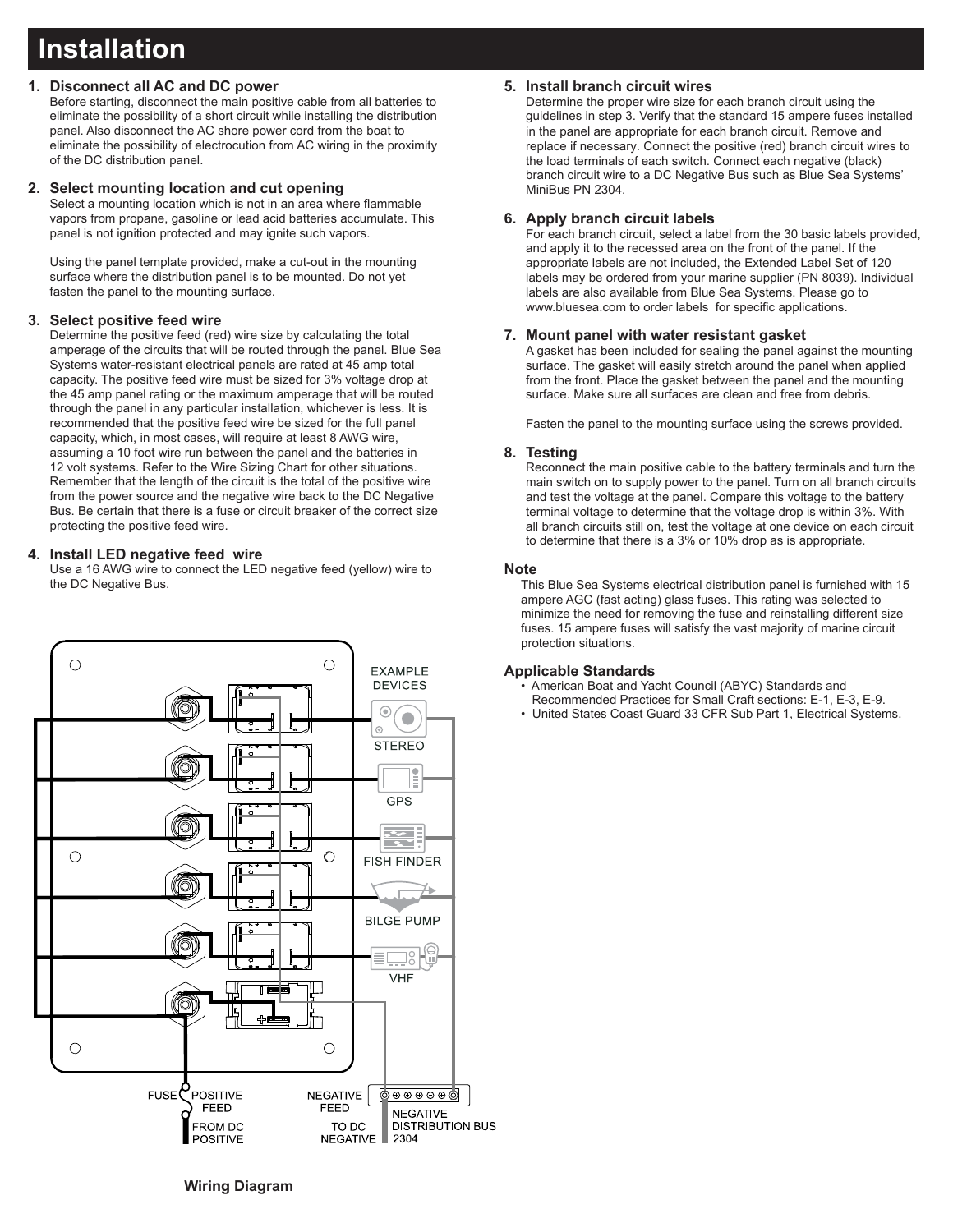## **Installation**

## **1. Disconnect all AC and DC power**

Before starting, disconnect the main positive cable from all batteries to eliminate the possibility of a short circuit while installing the distribution panel. Also disconnect the AC shore power cord from the boat to eliminate the possibility of electrocution from AC wiring in the proximity of the DC distribution panel.

### **2. Select mounting location and cut opening**

Select a mounting location which is not in an area where flammable vapors from propane, gasoline or lead acid batteries accumulate. This panel is not ignition protected and may ignite such vapors.

Using the panel template provided, make a cut-out in the mounting surface where the distribution panel is to be mounted. Do not yet fasten the panel to the mounting surface.

## **3. Select positive feed wire**

Determine the positive feed (red) wire size by calculating the total amperage of the circuits that will be routed through the panel. Blue Sea Systems water-resistant electrical panels are rated at 45 amp total capacity. The positive feed wire must be sized for 3% voltage drop at the 45 amp panel rating or the maximum amperage that will be routed through the panel in any particular installation, whichever is less. It is recommended that the positive feed wire be sized for the full panel capacity, which, in most cases, will require at least 8 AWG wire, assuming a 10 foot wire run between the panel and the batteries in 12 volt systems. Refer to the Wire Sizing Chart for other situations. Remember that the length of the circuit is the total of the positive wire from the power source and the negative wire back to the DC Negative Bus. Be certain that there is a fuse or circuit breaker of the correct size protecting the positive feed wire.

## **4. Install LED negative feed wire**

Use a 16 AWG wire to connect the LED negative feed (yellow) wire to the DC Negative Bus.



## **5. Install branch circuit wires**

Determine the proper wire size for each branch circuit using the guidelines in step 3. Verify that the standard 15 ampere fuses installed in the panel are appropriate for each branch circuit. Remove and replace if necessary. Connect the positive (red) branch circuit wires to the load terminals of each switch. Connect each negative (black) branch circuit wire to a DC Negative Bus such as Blue Sea Systems' MiniBus PN 2304.

## **6. Apply branch circuit labels**

For each branch circuit, select a label from the 30 basic labels provided, and apply it to the recessed area on the front of the panel. If the appropriate labels are not included, the Extended Label Set of 120 labels may be ordered from your marine supplier (PN 8039). Individual labels are also available from Blue Sea Systems. Please go to www.bluesea.com to order labels for specific applications.

## **7. Mount panel with water resistant gasket**

A gasket has been included for sealing the panel against the mounting surface. The gasket will easily stretch around the panel when applied from the front. Place the gasket between the panel and the mounting surface. Make sure all surfaces are clean and free from debris.

Fasten the panel to the mounting surface using the screws provided.

## **8. Testing**

Reconnect the main positive cable to the battery terminals and turn the main switch on to supply power to the panel. Turn on all branch circuits and test the voltage at the panel. Compare this voltage to the battery terminal voltage to determine that the voltage drop is within 3%. With all branch circuits still on, test the voltage at one device on each circuit to determine that there is a 3% or 10% drop as is appropriate.

#### **Note**

This Blue Sea Systems electrical distribution panel is furnished with 15 ampere AGC (fast acting) glass fuses. This rating was selected to minimize the need for removing the fuse and reinstalling different size fuses. 15 ampere fuses will satisfy the vast majority of marine circuit protection situations.

#### **Applicable Standards**

- American Boat and Yacht Council (ABYC) Standards and
- Recommended Practices for Small Craft sections: E-1, E-3, E-9.
- United States Coast Guard 33 CFR Sub Part 1, Electrical Systems.